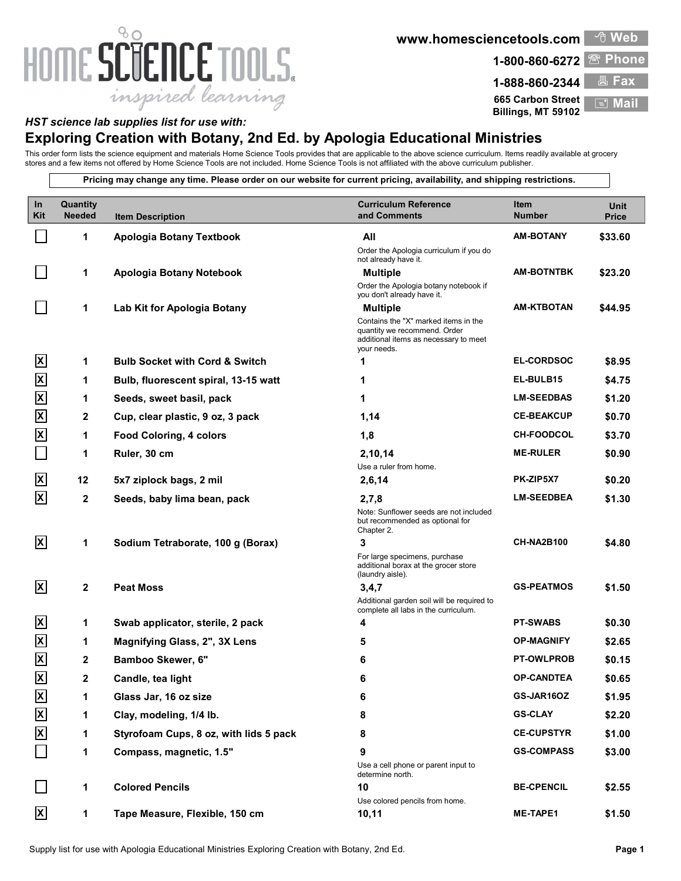## 80 HOME SCIENCE TOOLS. inspired learning

www.homesciencetools.com

1-800-860-6272 Phone

ੀ Web

1-888-860-2344 Fax 665 Carbon Street Fall Mai Billings, MT 59102  $\equiv$  Mail

## HST science lab supplies list for use with:

## Exploring Creation with Botany, 2nd Ed. by Apologia Educational Ministries

This order form lists the science equipment and materials Home Science Tools provides that are applicable to the above science curriculum. Items readily available at grocery stores and a few items not offered by Home Science Tools are not included. Home Science Tools is not affiliated with the above curriculum publisher.

Pricing may change any time. Please order on our website for current pricing, availability, and shipping restrictions.

| In<br>Kit                 | Quantity<br><b>Needed</b> | <b>Item Description</b>                   | <b>Curriculum Reference</b><br>and Comments                                                                                  | Item<br><b>Number</b> | <b>Unit</b><br><b>Price</b> |
|---------------------------|---------------------------|-------------------------------------------|------------------------------------------------------------------------------------------------------------------------------|-----------------------|-----------------------------|
|                           | $\mathbf 1$               | Apologia Botany Textbook                  | All                                                                                                                          | <b>AM-BOTANY</b>      | \$33.60                     |
|                           |                           |                                           | Order the Apologia curriculum if you do<br>not already have it.                                                              |                       |                             |
|                           | $\mathbf 1$               | Apologia Botany Notebook                  | <b>Multiple</b>                                                                                                              | <b>AM-BOTNTBK</b>     | \$23.20                     |
|                           |                           |                                           | Order the Apologia botany notebook if<br>you don't already have it.                                                          |                       |                             |
|                           | $\mathbf 1$               | Lab Kit for Apologia Botany               | <b>Multiple</b>                                                                                                              | AM-KTBOTAN            | \$44.95                     |
|                           |                           |                                           | Contains the "X" marked items in the<br>quantity we recommend. Order<br>additional items as necessary to meet<br>your needs. |                       |                             |
| $\overline{\mathsf{X}}$   | $\mathbf 1$               | <b>Bulb Socket with Cord &amp; Switch</b> | 1                                                                                                                            | <b>EL-CORDSOC</b>     | \$8.95                      |
| $\boldsymbol{\mathsf{X}}$ | $\mathbf 1$               | Bulb, fluorescent spiral, 13-15 watt      | 1                                                                                                                            | EL-BULB15             | \$4.75                      |
| $\boldsymbol{\mathsf{X}}$ | $\mathbf 1$               | Seeds, sweet basil, pack                  | 1                                                                                                                            | <b>LM-SEEDBAS</b>     | \$1.20                      |
| $\boldsymbol{\mathsf{X}}$ | $\mathbf{2}$              | Cup, clear plastic, 9 oz, 3 pack          | 1,14                                                                                                                         | <b>CE-BEAKCUP</b>     | \$0.70                      |
| $\overline{\mathsf{X}}$   | $\mathbf 1$               | <b>Food Coloring, 4 colors</b>            | 1,8                                                                                                                          | <b>CH-FOODCOL</b>     | \$3.70                      |
|                           | $\mathbf{1}$              | Ruler, 30 cm                              | 2,10,14                                                                                                                      | <b>ME-RULER</b>       | \$0.90                      |
|                           |                           |                                           | Use a ruler from home.                                                                                                       |                       |                             |
| $\overline{\mathsf{x}}$   | 12                        | 5x7 ziplock bags, 2 mil                   | 2,6,14                                                                                                                       | PK-ZIP5X7             | \$0.20                      |
| $\mathsf{\overline{x}}$   | $\mathbf{2}$              | Seeds, baby lima bean, pack               | 2,7,8<br>Note: Sunflower seeds are not included<br>but recommended as optional for<br>Chapter 2.                             | <b>LM-SEEDBEA</b>     | \$1.30                      |
| $\mathbf{x}$              | $\mathbf 1$               | Sodium Tetraborate, 100 g (Borax)         | 3                                                                                                                            | <b>CH-NA2B100</b>     | \$4.80                      |
|                           |                           |                                           | For large specimens, purchase<br>additional borax at the grocer store<br>(laundry aisle).                                    |                       |                             |
| $\mathbf{x}$              | $\mathbf{2}$              | <b>Peat Moss</b>                          | 3,4,7                                                                                                                        | <b>GS-PEATMOS</b>     | \$1.50                      |
|                           |                           |                                           | Additional garden soil will be required to<br>complete all labs in the curriculum.                                           |                       |                             |
| $\mathbf{x}$              | $\mathbf 1$               | Swab applicator, sterile, 2 pack          | 4                                                                                                                            | <b>PT-SWABS</b>       | \$0.30                      |
| $\mathsf{X}% _{0}$        | $\mathbf 1$               | Magnifying Glass, 2", 3X Lens             | 5                                                                                                                            | <b>OP-MAGNIFY</b>     | \$2.65                      |
| $\boldsymbol{\mathsf{X}}$ | $\mathbf{2}$              | Bamboo Skewer, 6"                         | 6                                                                                                                            | <b>PT-OWLPROB</b>     | \$0.15                      |
| $\mathsf{X}% _{0}$        | $\mathbf{2}$              | Candle, tea light                         | 6                                                                                                                            | <b>OP-CANDTEA</b>     | \$0.65                      |
| $\overline{\mathsf{x}}$   | 1                         | Glass Jar, 16 oz size                     | 6                                                                                                                            | GS-JAR16OZ            | \$1.95                      |
| $\overline{\mathsf{x}}$   | 1                         | Clay, modeling, 1/4 lb.                   | 8                                                                                                                            | <b>GS-CLAY</b>        | \$2.20                      |
| $\boldsymbol{\mathsf{X}}$ | $\mathbf 1$               | Styrofoam Cups, 8 oz, with lids 5 pack    | 8                                                                                                                            | <b>CE-CUPSTYR</b>     | \$1.00                      |
| $\Box$                    | $\mathbf 1$               | Compass, magnetic, 1.5"                   | 9                                                                                                                            | <b>GS-COMPASS</b>     | \$3.00                      |
|                           |                           |                                           | Use a cell phone or parent input to<br>determine north.                                                                      |                       |                             |
|                           | $\mathbf 1$               | <b>Colored Pencils</b>                    | 10<br>Use colored pencils from home.                                                                                         | <b>BE-CPENCIL</b>     | \$2.55                      |
| $\mathbf{x}$              | $\mathbf 1$               | Tape Measure, Flexible, 150 cm            | 10,11                                                                                                                        | <b>ME-TAPE1</b>       | \$1.50                      |